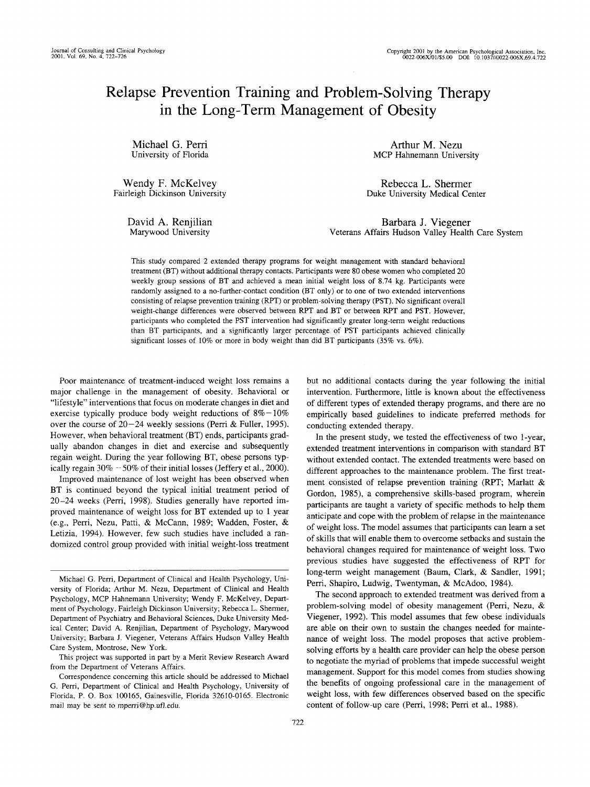# Relapse Prevention Training and Problem-Solving Therapy in the Long-Term Management of Obesity

Michael G. Perri University of Florida

Wendy F. McKelvey Fairleigh Dickinson University

> David A. Renjilian Marywood University

Arthur M. Nezu MCP Hahnemann University

Rebecca L. Shermer Duke University Medical Center

Barbara J. Viegener Veterans Affairs Hudson Valley Health Care System

This study compared 2 extended therapy programs for weight management with standard behavioral treatment (BT) without additional therapy contacts. Participants were 80 obese women who completed 20 weekly group sessions of BT and achieved a mean initial weight loss of 8.74 kg. Participants were randomly assigned to a no-further-contact condition (BT only) or to one of two extended interventions consisting of relapse prevention training (RPT) or problem-solving therapy (PST). No significant overall weight-change differences were observed between RPT and BT or between RPT and PST. However, participants who completed the PST intervention had significantly greater long-term weight reductions than BT participants, and a significantly larger percentage of PST participants achieved clinically significant losses of 10% or more in body weight than did BT participants (35% vs. 6%).

Poor maintenance of treatment-induced weight loss remains a major challenge in the management of obesity. Behavioral or "lifestyle" interventions that focus on moderate changes in diet and exercise typically produce body weight reductions of  $8\% - 10\%$ over the course of 20—24 weekly sessions (Perri & Fuller, 1995). However, when behavioral treatment (BT) ends, participants gradually abandon changes in diet and exercise and subsequently regain weight. During the year following BT, obese persons typically regain  $30\% - 50\%$  of their initial losses (Jeffery et al., 2000).

Improved maintenance of lost weight has been observed when BT is continued beyond the typical initial treatment period of 20-24 weeks (Perri, 1998). Studies generally have reported improved maintenance of weight loss for BT extended up to 1 year (e.g., Perri, Nezu, Patti, & McCann, 1989; Wadden, Foster, & Letizia, 1994). However, few such studies have included a randomized control group provided with initial weight-loss treatment

This project was supported in part by a Merit Review Research Award from the Department of Veterans Affairs.

but no additional contacts during the year following the initial intervention. Furthermore, little is known about the effectiveness of different types of extended therapy programs, and there are no empirically based guidelines to indicate preferred methods for conducting extended therapy.

In the present study, we tested the effectiveness of two 1-year, extended treatment interventions in comparison with standard BT without extended contact. The extended treatments were based on different approaches to the maintenance problem. The first treatment consisted of relapse prevention training (RPT; Marlatt & Gordon, 1985), a comprehensive skills-based program, wherein participants are taught a variety of specific methods to help them anticipate and cope with the problem of relapse in the maintenance of weight loss. The model assumes that participants can learn a set of skills that will enable them to overcome setbacks and sustain the behavioral changes required for maintenance of weight loss. Two previous studies have suggested the effectiveness of RPT for long-term weight management (Baum, Clark, & Sandier, 1991; Perri, Shapiro, Ludwig, Twentyman, & McAdoo, 1984).

The second approach to extended treatment was derived from a problem-solving model of obesity management (Perri, Nezu, & Viegener, 1992). This model assumes that few obese individuals are able on their own to sustain the changes needed for maintenance of weight loss. The model proposes that active problemsolving efforts by a health care provider can help the obese person to negotiate the myriad of problems that impede successful weight management. Support for this model comes from studies showing the benefits of ongoing professional care in the management of weight loss, with few differences observed based on the specific content of follow-up care (Perri, 1998; Perri et al., 1988).

Michael G. Perri, Department of Clinical and Health Psychology, University of Florida; Arthur M. Nezu, Department of Clinical and Health Psychology, MCP Hahnemann University; Wendy F. McKelvey, Department of Psychology, Fairleigh Dickinson University; Rebecca L. Shermer, Department of Psychiatry and Behavioral Sciences, Duke University Medical Center; David A. Renjilian, Department of Psychology, Marywood University; Barbara J. Viegener, Veterans Affairs Hudson Valley Health Care System, Montrose, New York.

Correspondence concerning this article should be addressed to Michael G. Perri, Department of Clinical and Health Psychology, University of Florida, P. O. Box 100165, Gainesville, Florida 32610-0165. Electronic mail may be sent to mperri@hp.ufl.edu.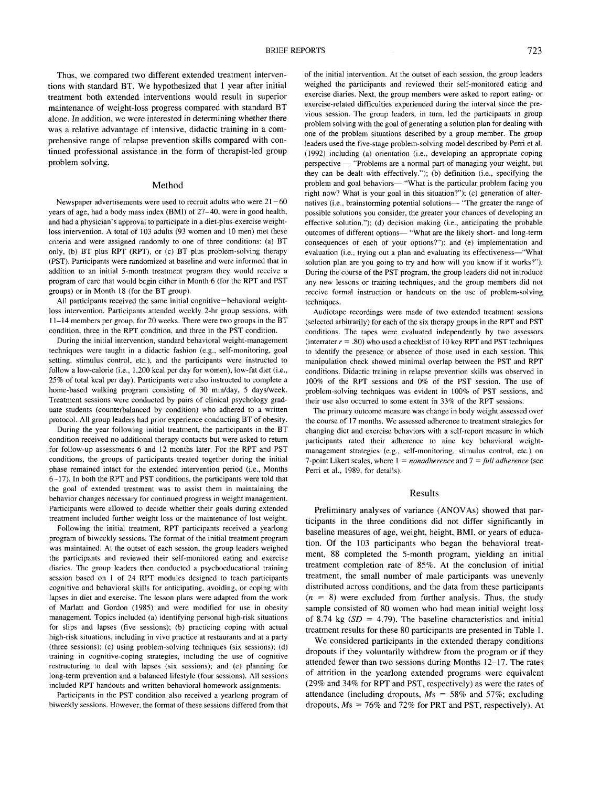Thus, we compared two different extended treatment interventions with standard BT. We hypothesized that 1 year after initial treatment both extended interventions would result in superior maintenance of weight-loss progress compared with standard BT alone. In addition, we were interested in determining whether there was a relative advantage of intensive, didactic training in a comprehensive range of relapse prevention skills compared with continued professional assistance in the form of therapist-led group problem solving.

#### Method

Newspaper advertisements were used to recruit adults who were  $21-60$ years of age, had a body mass index (BMI) of 27-40, were in good health, and had a physician's approval to participate in a diet-plus-exercise weightloss intervention. A total of 103 adults (93 women and 10 men) met these criteria and were assigned randomly to one of three conditions: (a) BT only, (b) BT plus RPT (RPT), or (c) BT plus problem-solving therapy (PST). Participants were randomized at baseline and were informed that in addition to an initial 5-month treatment program they would receive a program of care that would begin either in Month 6 (for the RPT and PST groups) or in Month 18 (for the BT group).

All participants received the same initial cognitive—behavioral weightloss intervention. Participants attended weekly 2-hr group sessions, with 11-14 members per group, for 20 weeks. There were two groups in the BT condition, three in the RPT condition, and three in the PST condition.

During the initial intervention, standard behavioral weight-management techniques were taught in a didactic fashion (e.g., self-monitoring, goal setting, stimulus control, etc.), and the participants were instructed to follow a low-calorie (i.e., 1,200 kcal per day for women), low-fat diet (i.e., 25% of total kcal per day). Participants were also instructed to complete a home-based walking program consisting of 30 min/day, 5 days/week. Treatment sessions were conducted by pairs of clinical psychology graduate students (counterbalanced by condition) who adhered to a written protocol. All group leaders had prior experience conducting BT of obesity.

During the year following initial treatment, the participants in the BT condition received no additional therapy contacts but were asked to return for follow-up assessments 6 and 12 months later. For the RPT and PST conditions, the groups of participants treated together during the initial phase remained intact for the extended intervention period (i.e., Months 6-17). In both the RPT and PST conditions, the participants were told that the goal of extended treatment was to assist them in maintaining the behavior changes necessary for continued progress in weight management. Participants were allowed to decide whether their goals during extended treatment included further weight loss or the maintenance of lost weight.

Following the initial treatment, RPT participants received a yearlong program of biweekly sessions. The format of the initial treatment program was maintained. At the outset of each session, the group leaders weighed the participants and reviewed their self-monitored eating and exercise diaries. The group leaders then conducted a psychoeducational training session based on 1 of 24 RPT modules designed to teach participants cognitive and behavioral skills for anticipating, avoiding, or coping with lapses in diet and exercise. The lesson plans were adapted from the work of Marlatt and Gordon (1985) and were modified for use in obesity management. Topics included (a) identifying personal high-risk situations for slips and lapses (five sessions); (b) practicing coping with actual high-risk situations, including in vivo practice at restaurants and at a party (three sessions); (c) using problem-solving techniques (six sessions); (d) training in cognitive-coping strategies, including the use of cognitive restructuring to deal with lapses (six sessions); and (e) planning for long-term prevention and a balanced lifestyle (four sessions). All sessions included RPT handouts and written behavioral homework assignments.

Participants in the PST condition also received a yearlong program of biweekly sessions. However, the format of these sessions differed from that

of the initial intervention. At the outset of each session, the group leaders weighed the participants and reviewed their self-monitored eating and exercise diaries. Next, the group members were asked to report eating- or exercise-related difficulties experienced during the interval since the previous session. The group leaders, in turn, led the participants in group problem solving with the goal of generating a solution plan for dealing with one of the problem situations described by a group member. The group leaders used the five-stage problem-solving model described by Perri et al. (1992) including (a) orientation (i.e., developing an appropriate coping perspective — "Problems are a normal part of managing your weight, but they can be dealt with effectively."); (b) definition (i.e., specifying the problem and goal behaviors— "What is the particular problem facing you right now? What is your goal in this situation?"); (c) generation of alternatives (i.e., brainstorming potential solutions— "The greater the range of possible solutions you consider, the greater your chances of developing an effective solution."); (d) decision making (i.e., anticipating the probable outcomes of different options— "What are the likely short- and long-term consequences of each of your options?"); and (e) implementation and evaluation (i.e., trying out a plan and evaluating its effectiveness—"What solution plan are you going to try and how will you know if it works?"). During the course of the PST program, the group leaders did not introduce any new lessons or training techniques, and the group members did not receive formal instruction or handouts on the use of problem-solving techniques.

Audiotape recordings were made of two extended treatment sessions (selected arbitrarily) for each of the six therapy groups in the RPT and PST conditions. The tapes were evaluated independently by two assessors (interrater  $r = .80$ ) who used a checklist of 10 key RPT and PST techniques to identify the presence or absence of those used in each session. This manipulation check showed minimal overlap between the PST and RPT conditions. Didactic training in relapse prevention skills was observed in 100% of the RPT sessions and 0% of the PST session. The use of problem-solving techniques was evident in 100% of PST sessions, and their use also occurred to some extent in 33% of the RPT sessions.

The primary outcome measure was change in body weight assessed over the course of 17 months. We assessed adherence to treatment strategies for changing diet and exercise behaviors with a self-report measure in which participants rated their adherence to nine key behavioral weightmanagement strategies (e.g., self-monitoring, stimulus control, etc.) on 7-point Likert scales, where 1 = *nonadherence* and 7 = *full adherence* (see Perri et al., 1989, for details).

#### **Results**

Preliminary analyses of variance (ANOVAs) showed that participants in the three conditions did not differ significantly in baseline measures of age, weight, height, BMI, or years of education. Of the 103 participants who began the behavioral treatment, 88 completed the 5-month program, yielding an initial treatment completion rate of 85%. At the conclusion of initial treatment, the small number of male participants was unevenly distributed across conditions, and the data from these participants  $(n = 8)$  were excluded from further analysis. Thus, the study sample consisted of 80 women who had mean initial weight loss of 8.74 kg *(SD =* 4.79). The baseline characteristics and initial treatment results for these 80 participants are presented in Table 1.

We considered participants in the extended therapy conditions dropouts if they voluntarily withdrew from the program or if they attended fewer than two sessions during Months 12-17. The rates of attrition in the yearlong extended programs were equivalent (29% and 34% for RPT and PST, respectively) as were the rates of attendance (including dropouts,  $Ms = 58\%$  and 57%; excluding dropouts,  $Ms = 76\%$  and 72% for PRT and PST, respectively). At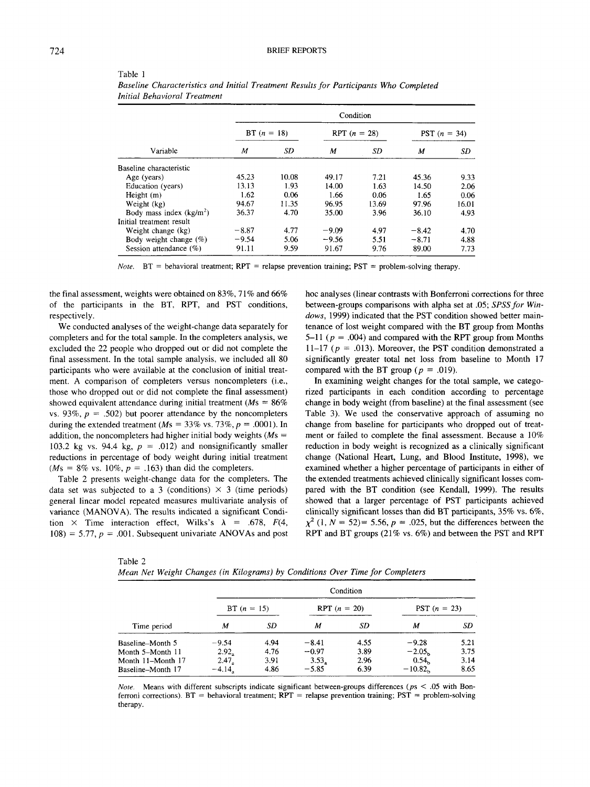|                           | Condition     |       |                |       |                       |       |  |
|---------------------------|---------------|-------|----------------|-------|-----------------------|-------|--|
|                           | BT $(n = 18)$ |       | RPT $(n = 28)$ |       | <b>PST</b> $(n = 34)$ |       |  |
| Variable                  | M             | SD    | M              | SD    | M                     | SD    |  |
| Baseline characteristic   |               |       |                |       |                       |       |  |
| Age (years)               | 45.23         | 10.08 | 49.17          | 7.21  | 45.36                 | 9.33  |  |
| Education (years)         | 13.13         | 1.93  | 14.00          | 1.63  | 14.50                 | 2.06  |  |
| Height $(m)$              | 1.62          | 0.06  | 1.66           | 0.06  | 1.65                  | 0.06  |  |
| Weight (kg)               | 94.67         | 11.35 | 96.95          | 13.69 | 97.96                 | 16.01 |  |
| Body mass index $(kg/m2)$ | 36.37         | 4.70  | 35.00          | 3.96  | 36.10                 | 4.93  |  |
| Initial treatment result  |               |       |                |       |                       |       |  |
| Weight change (kg)        | $-8.87$       | 4.77  | $-9.09$        | 4.97  | $-8.42$               | 4.70  |  |
| Body weight change $(\%)$ | $-9.54$       | 5.06  | $-9.56$        | 5.51  | $-8.71$               | 4.88  |  |
| Session attendance (%)    | 91.11         | 9.59  | 91.67          | 9.76  | 89.00                 | 7.73  |  |

Table 1 *Baseline Characteristics and Initial Treatment Results for Participants Who Completed Initial Behavioral Treatment*

*Note.*  $BT =$  behavioral treatment;  $RPT =$  relapse prevention training;  $PST =$  problem-solving therapy.

the final assessment, weights were obtained on 83%, 71% and 66% of the participants in the BT, RPT, and PST conditions, respectively.

We conducted analyses of the weight-change data separately for completers and for the total sample. In the completers analysis, we excluded the 22 people who dropped out or did not complete the final assessment. In the total sample analysis, we included all 80 participants who were available at the conclusion of initial treatment. A comparison of completers versus noncompleters (i.e., those who dropped out or did not complete the final assessment) showed equivalent attendance during initial treatment ( $M_s = 86\%$ ) vs. 93%,  $p = .502$ ) but poorer attendance by the noncompleters during the extended treatment ( $Ms = 33\%$  vs. 73%,  $p = .0001$ ). In addition, the noncompleters had higher initial body weights ( $Ms =$ 103.2 kg vs. 94.4 kg,  $p = .012$ ) and nonsignificantly smaller reductions in percentage of body weight during initial treatment  $(Ms = 8\% \text{ vs. } 10\%, p = .163)$  than did the completers.

Table 2 presents weight-change data for the completers. The data set was subjected to a 3 (conditions)  $\times$  3 (time periods) general linear model repeated measures multivariate analysis of variance (MANOVA). The results indicated a significant Condition  $\times$  Time interaction effect, Wilks's  $\lambda$  = .678, F(4,  $108$ ) = 5.77,  $p = .001$ . Subsequent univariate ANOVAs and post hoc analyses (linear contrasts with Bonferroni corrections for three between-groups comparisons with alpha set at .05; *SPSS for Windows,* 1999) indicated that the PST condition showed better maintenance of lost weight compared with the BT group from Months 5-11 *(p =* .004) and compared with the RPT group from Months 11-17 ( $p = .013$ ). Moreover, the PST condition demonstrated a significantly greater total net loss from baseline to Month 17 compared with the BT group ( $p = .019$ ).

In examining weight changes for the total sample, we categorized participants in each condition according to percentage change in body weight (from baseline) at the final assessment (see Table 3). We used the conservative approach of assuming no change from baseline for participants who dropped out of treatment or failed to complete the final assessment. Because a 10% reduction in body weight is recognized as a clinically significant change (National Heart, Lung, and Blood Institute, 1998), we examined whether a higher percentage of participants in either of the extended treatments achieved clinically significant losses compared with the BT condition (see Kendall, 1999). The results showed that a larger percentage of PST participants achieved clinically significant losses than did BT participants, 35% vs. 6%,  $\chi^2$  (1, *N* = 52) = 5.56, *p* = .025, but the differences between the RPT and BT groups (21% vs. 6%) and between the PST and RPT

| anie |  |
|------|--|
|------|--|

|  |  |  |  |  |  | Mean Net Weight Changes (in Kilograms) by Conditions Over Time for Completers |  |  |  |  |  |  |  |
|--|--|--|--|--|--|-------------------------------------------------------------------------------|--|--|--|--|--|--|--|
|--|--|--|--|--|--|-------------------------------------------------------------------------------|--|--|--|--|--|--|--|

|                   |                   |      |                | Condition |                       |      |
|-------------------|-------------------|------|----------------|-----------|-----------------------|------|
| Time period       | $BT (n = 15)$     |      | RPT $(n = 20)$ |           | <b>PST</b> $(n = 23)$ |      |
|                   | M                 | SD   | м              | SD        | M                     | SD   |
| Baseline-Month 5  | $-9.54$           | 4.94 | $-8.41$        | 4.55      | $-9.28$               | 5.21 |
| Month 5–Month 11  | $2.92_a$          | 4.76 | $-0.97$        | 3.89      | $-2.05b$              | 3.75 |
| Month 11–Month 17 | 2.47 <sub>a</sub> | 3.91 | 3.53.          | 2.96      | 0.54 <sub>b</sub>     | 3.14 |
| Baseline-Month 17 | $-4.14$           | 4.86 | $-5.85$        | 6.39      | $-10.82$              | 8.65 |

*Note.* Means with different subscripts indicate significant between-groups differences *(ps <* .05 with Bonferroni corrections).  $BT =$  behavioral treatment;  $RPT =$  relapse prevention training;  $PST =$  problem-solving therapy.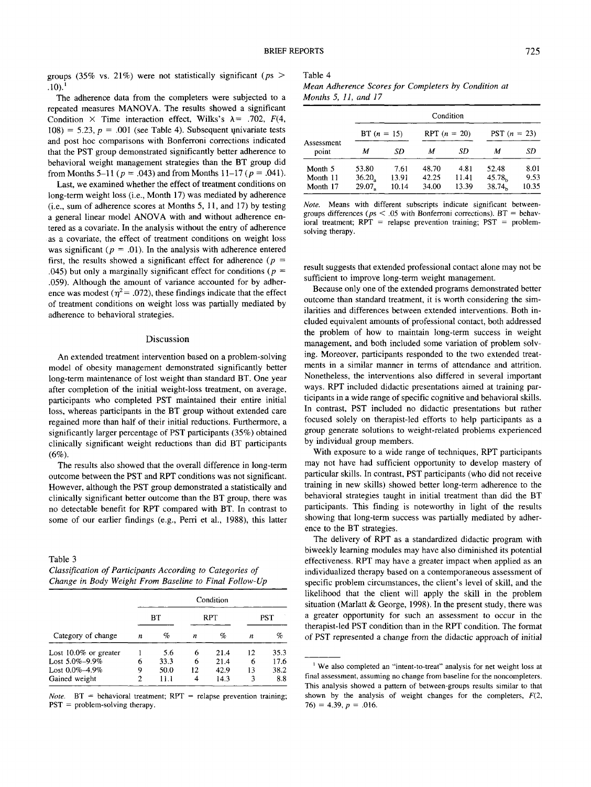groups (35% vs. 21%) were not statistically significant *(ps >*  $.10$ ).<sup>1</sup>

The adherence data from the completers were subjected to a repeated measures MANOVA. The results showed a significant Condition  $\times$  Time interaction effect, Wilks's  $\lambda$  = .702, F(4, 108) = 5.23,  $p = .001$  (see Table 4). Subsequent univariate tests and post hoc comparisons with Bonferroni corrections indicated that the PST group demonstrated significantly better adherence to behavioral weight management strategies than the BT group did from Months 5-11 *(p =* .043) and from Months 11-17 *(p* = .041).

Last, we examined whether the effect of treatment conditions on long-term weight loss (i.e., Month 17) was mediated by adherence (i.e., sum of adherence scores at Months 5, 11, and 17) by testing a general linear model ANOVA with and without adherence entered as a covariate. In the analysis without the entry of adherence as a covariate, the effect of treatment conditions on weight loss was significant  $(p = .01)$ . In the analysis with adherence entered first, the results showed a significant effect for adherence *(p =* .045) but only a marginally significant effect for conditions *(p =* .059). Although the amount of variance accounted for by adherence was modest ( $\eta^2$ = .072), these findings indicate that the effect of treatment conditions on weight loss was partially mediated by adherence to behavioral strategies.

### Discussion

An extended treatment intervention based on a problem-solving model of obesity management demonstrated significantly better long-term maintenance of lost weight than standard BT. One year after completion of the initial weight-loss treatment, on average, participants who completed PST maintained their entire initial loss, whereas participants in the BT group without extended care regained more than half of their initial reductions. Furthermore, a significantly larger percentage of PST participants (35%) obtained clinically significant weight reductions than did BT participants  $(6%)$ 

The results also showed that the overall difference in long-term outcome between the PST and RPT conditions was not significant. However, although the PST group demonstrated a statistically and clinically significant better outcome than the BT group, there was no detectable benefit for RPT compared with BT. In contrast to some of our earlier findings (e.g., Perri et al., 1988), this latter

## Table 3

*Classification of Participants According to Categories of Change in Body Weight From Baseline to Final Follow-Up*

|                       | Condition |      |     |      |     |      |  |  |  |
|-----------------------|-----------|------|-----|------|-----|------|--|--|--|
|                       |           | BТ   | RPT |      | PST |      |  |  |  |
| Category of change    | п         | %    | n   | %    | n   | %    |  |  |  |
| Lost 10.0% or greater |           | 5.6  | 6   | 21.4 | 12  | 35.3 |  |  |  |
| Lost 5.0%–9.9%        | 6         | 33.3 | 6   | 21.4 | 6   | 17.6 |  |  |  |
| Lost 0.0%–4.9%        | 9         | 50.0 | 12  | 42.9 | 13  | 38.2 |  |  |  |
| Gained weight         | 2         | 11.1 | 4   | 14.3 | 3   | 8.8  |  |  |  |

*Note.*  $BT =$  behavioral treatment;  $RPT =$  relapse prevention training;  $PST =$  problem-solving therapy.

# Table 4

| Mean Adherence Scores for Completers by Condition at |  |  |  |
|------------------------------------------------------|--|--|--|
| Months 5, $11$ , and $17$                            |  |  |  |

| BT $(n = 15)$        |        |       |       | <b>PST</b> $(n = 23)$                |                    |
|----------------------|--------|-------|-------|--------------------------------------|--------------------|
| М                    | SD     | м     | SD    | м                                    | SD                 |
| 53.80                | 7.61   | 48.70 | 4.81  | 52.48                                | 8.01               |
| $36.20$ <sub>2</sub> | 13.91  | 42.25 | 11.41 | 45.78 <sub>b</sub>                   | 9.53<br>10.35      |
|                      | 29.07. | 10.14 | 34.00 | Condition<br>RPT $(n = 20)$<br>13.39 | 38.74 <sub>b</sub> |

*Note.* Means with different subscripts indicate significant betweengroups differences ( $ps < .05$  with Bonferroni corrections).  $BT =$  behavioral treatment;  $RPT$  = relapse prevention training;  $PST$  = problemsolving therapy.

result suggests that extended professional contact alone may not be sufficient to improve long-term weight management.

Because only one of the extended programs demonstrated better outcome than standard treatment, it is worth considering the similarities and differences between extended interventions. Both included equivalent amounts of professional contact, both addressed the problem of how to maintain long-term success in weight management, and both included some variation of problem solving. Moreover, participants responded to the two extended treatments in a similar manner in terms of attendance and attrition. Nonetheless, the interventions also differed in several important ways. RPT included didactic presentations aimed at training participants in a wide range of specific cognitive and behavioral skills. In contrast, PST included no didactic presentations but rather focused solely on therapist-led efforts to help participants as a group generate solutions to weight-related problems experienced by individual group members.

With exposure to a wide range of techniques, RPT participants may not have had sufficient opportunity to develop mastery of particular skills. In contrast, PST participants (who did not receive training in new skills) showed better long-term adherence to the behavioral strategies taught in initial treatment than did the BT participants. This finding is noteworthy in light of the results showing that long-term success was partially mediated by adherence to the BT strategies.

The delivery of RPT as a standardized didactic program with biweekly learning modules may have also diminished its potential effectiveness. RPT may have a greater impact when applied as an individualized therapy based on a contemporaneous assessment of specific problem circumstances, the client's level of skill, and the likelihood that the client will apply the skill in the problem situation (Marlatt & George, 1998). In the present study, there was a greater opportunity for such an assessment to occur in the therapist-led PST condition than in the RPT condition. The format of PST represented a change from the didactic approach of initial

<sup>&</sup>lt;sup>1</sup> We also completed an "intent-to-treat" analysis for net weight loss at final assessment, assuming no change from baseline for the noncompleters. This analysis showed a pattern of between-groups results similar to that shown by the analysis of weight changes for the completers, *F(2,*  $76) = 4.39, p = .016.$